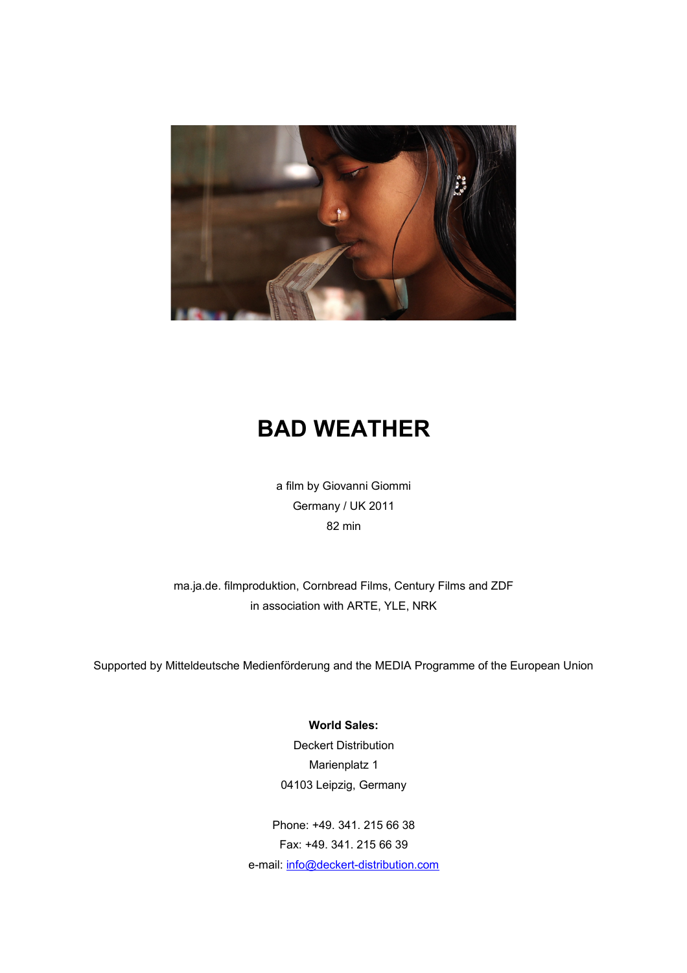

## **BAD WEATHER**

a film by Giovanni Giommi Germany / UK 2011 82 min

ma.ja.de. filmproduktion, Cornbread Films, Century Films and ZDF in association with ARTE, YLE, NRK

Supported by Mitteldeutsche Medienförderung and the MEDIA Programme of the European Union

**World Sales:** Deckert Distribution Marienplatz 1 04103 Leipzig, Germany

Phone: +49. 341. 215 66 38 Fax: +49. 341. 215 66 39 e-mail: [info@deckert-distribution.com](mailto:info@deckert-distribution.com)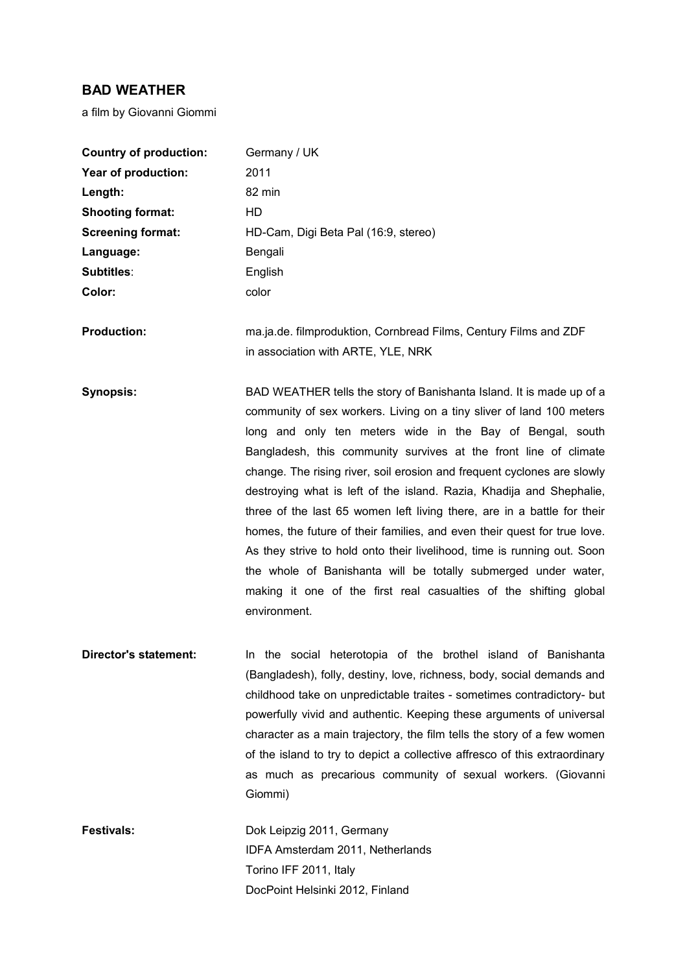## **BAD WEATHER**

a film by Giovanni Giommi

| <b>Country of production:</b> | Germany / UK                                                                                                                                                                                                                                                                                                                                                                                                                                                                                                                                                                                                                                                                                                                                                                                                              |
|-------------------------------|---------------------------------------------------------------------------------------------------------------------------------------------------------------------------------------------------------------------------------------------------------------------------------------------------------------------------------------------------------------------------------------------------------------------------------------------------------------------------------------------------------------------------------------------------------------------------------------------------------------------------------------------------------------------------------------------------------------------------------------------------------------------------------------------------------------------------|
| Year of production:           | 2011                                                                                                                                                                                                                                                                                                                                                                                                                                                                                                                                                                                                                                                                                                                                                                                                                      |
| Length:                       | 82 min                                                                                                                                                                                                                                                                                                                                                                                                                                                                                                                                                                                                                                                                                                                                                                                                                    |
| <b>Shooting format:</b>       | HD                                                                                                                                                                                                                                                                                                                                                                                                                                                                                                                                                                                                                                                                                                                                                                                                                        |
| <b>Screening format:</b>      | HD-Cam, Digi Beta Pal (16:9, stereo)                                                                                                                                                                                                                                                                                                                                                                                                                                                                                                                                                                                                                                                                                                                                                                                      |
| Language:                     | Bengali                                                                                                                                                                                                                                                                                                                                                                                                                                                                                                                                                                                                                                                                                                                                                                                                                   |
| Subtitles:                    | English                                                                                                                                                                                                                                                                                                                                                                                                                                                                                                                                                                                                                                                                                                                                                                                                                   |
| Color:                        | color                                                                                                                                                                                                                                                                                                                                                                                                                                                                                                                                                                                                                                                                                                                                                                                                                     |
| <b>Production:</b>            | ma.ja.de. filmproduktion, Cornbread Films, Century Films and ZDF                                                                                                                                                                                                                                                                                                                                                                                                                                                                                                                                                                                                                                                                                                                                                          |
|                               | in association with ARTE, YLE, NRK                                                                                                                                                                                                                                                                                                                                                                                                                                                                                                                                                                                                                                                                                                                                                                                        |
| <b>Synopsis:</b>              | BAD WEATHER tells the story of Banishanta Island. It is made up of a<br>community of sex workers. Living on a tiny sliver of land 100 meters<br>long and only ten meters wide in the Bay of Bengal, south<br>Bangladesh, this community survives at the front line of climate<br>change. The rising river, soil erosion and frequent cyclones are slowly<br>destroying what is left of the island. Razia, Khadija and Shephalie,<br>three of the last 65 women left living there, are in a battle for their<br>homes, the future of their families, and even their quest for true love.<br>As they strive to hold onto their livelihood, time is running out. Soon<br>the whole of Banishanta will be totally submerged under water,<br>making it one of the first real casualties of the shifting global<br>environment. |
| <b>Director's statement:</b>  | In the social heterotopia of the brothel island of Banishanta<br>(Bangladesh), folly, destiny, love, richness, body, social demands and<br>childhood take on unpredictable traites - sometimes contradictory- but<br>powerfully vivid and authentic. Keeping these arguments of universal<br>character as a main trajectory, the film tells the story of a few women<br>of the island to try to depict a collective affresco of this extraordinary<br>as much as precarious community of sexual workers. (Giovanni<br>Giommi)                                                                                                                                                                                                                                                                                             |
| <b>Festivals:</b>             | Dok Leipzig 2011, Germany<br>IDFA Amsterdam 2011, Netherlands<br>Torino IFF 2011, Italy<br>DocPoint Helsinki 2012, Finland                                                                                                                                                                                                                                                                                                                                                                                                                                                                                                                                                                                                                                                                                                |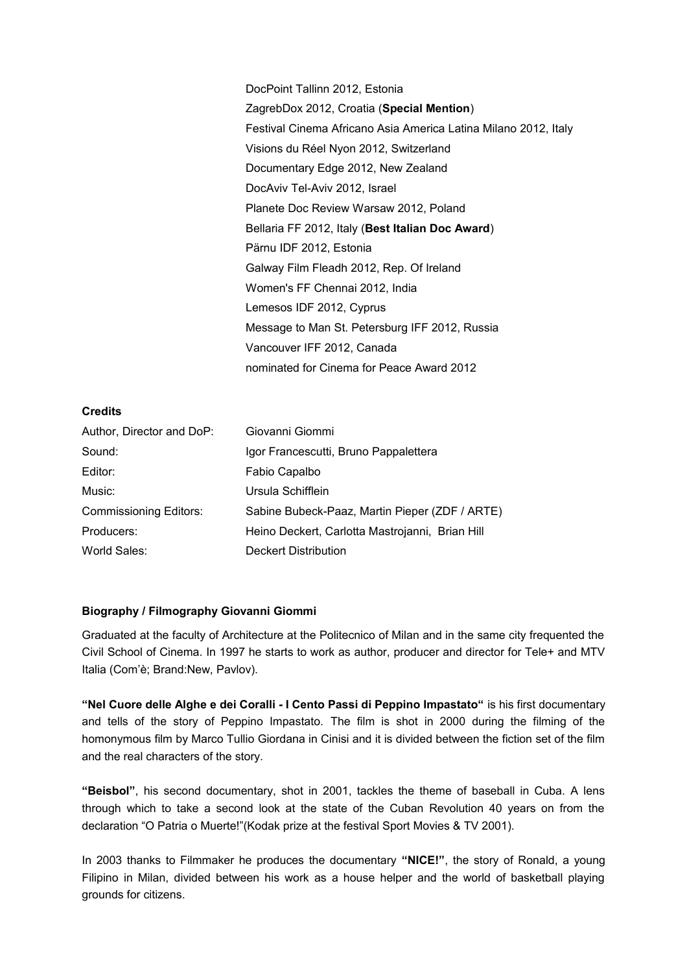DocPoint Tallinn 2012, Estonia ZagrebDox 2012, Croatia (**Special Mention**) Festival Cinema Africano Asia America Latina Milano 2012, Italy Visions du Réel Nyon 2012, Switzerland Documentary Edge 2012, New Zealand DocAviv Tel-Aviv 2012, Israel Planete Doc Review Warsaw 2012, Poland Bellaria FF 2012, Italy (**Best Italian Doc Award**) Pärnu IDF 2012, Estonia Galway Film Fleadh 2012, Rep. Of Ireland Women's FF Chennai 2012, India Lemesos IDF 2012, Cyprus Message to Man St. Petersburg IFF 2012, Russia Vancouver IFF 2012, Canada nominated for Cinema for Peace Award 2012

## **Credits**

| Author, Director and DoP:     | Giovanni Giommi                                 |
|-------------------------------|-------------------------------------------------|
| Sound:                        | Igor Francescutti, Bruno Pappalettera           |
| Editor:                       | Fabio Capalbo                                   |
| Music:                        | Ursula Schifflein                               |
| <b>Commissioning Editors:</b> | Sabine Bubeck-Paaz, Martin Pieper (ZDF / ARTE)  |
| Producers:                    | Heino Deckert, Carlotta Mastrojanni, Brian Hill |
| World Sales:                  | Deckert Distribution                            |

## **Biography / Filmography Giovanni Giommi**

Graduated at the faculty of Architecture at the Politecnico of Milan and in the same city frequented the Civil School of Cinema. In 1997 he starts to work as author, producer and director for Tele+ and MTV Italia (Com'è; Brand:New, Pavlov).

**"Nel Cuore delle Alghe e dei Coralli - I Cento Passi di Peppino Impastato"** is his first documentary and tells of the story of Peppino Impastato. The film is shot in 2000 during the filming of the homonymous film by Marco Tullio Giordana in Cinisi and it is divided between the fiction set of the film and the real characters of the story.

**"Beisbol"**, his second documentary, shot in 2001, tackles the theme of baseball in Cuba. A lens through which to take a second look at the state of the Cuban Revolution 40 years on from the declaration "O Patria o Muerte!"(Kodak prize at the festival Sport Movies & TV 2001).

In 2003 thanks to Filmmaker he produces the documentary **"NICE!"**, the story of Ronald, a young Filipino in Milan, divided between his work as a house helper and the world of basketball playing grounds for citizens.